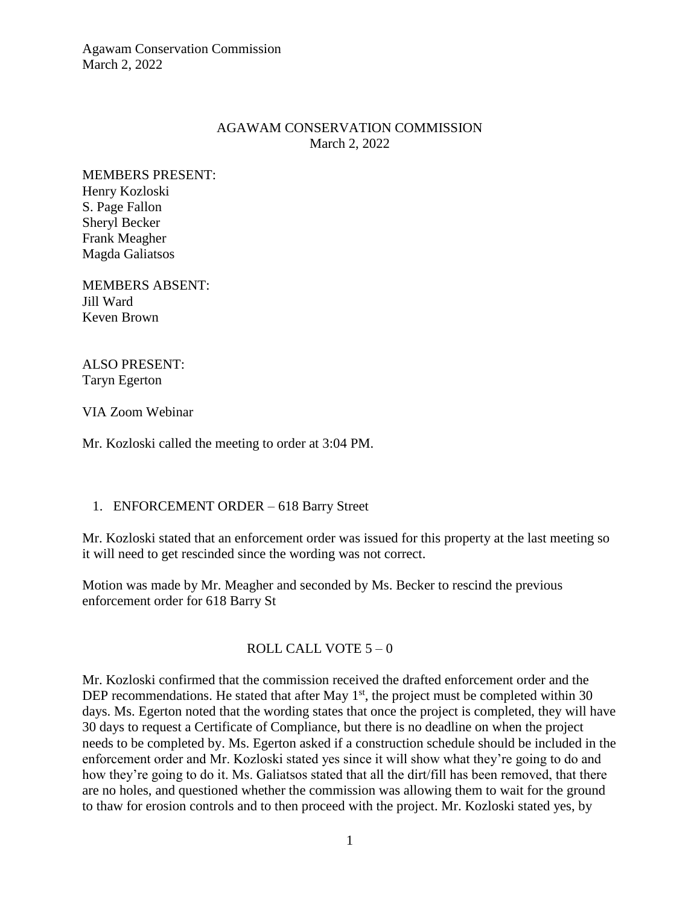Agawam Conservation Commission March 2, 2022

## AGAWAM CONSERVATION COMMISSION March 2, 2022

MEMBERS PRESENT: Henry Kozloski S. Page Fallon Sheryl Becker Frank Meagher Magda Galiatsos

MEMBERS ABSENT: Jill Ward Keven Brown

ALSO PRESENT: Taryn Egerton

VIA Zoom Webinar

Mr. Kozloski called the meeting to order at 3:04 PM.

## 1. ENFORCEMENT ORDER – 618 Barry Street

Mr. Kozloski stated that an enforcement order was issued for this property at the last meeting so it will need to get rescinded since the wording was not correct.

Motion was made by Mr. Meagher and seconded by Ms. Becker to rescind the previous enforcement order for 618 Barry St

# ROLL CALL VOTE  $5 - 0$

Mr. Kozloski confirmed that the commission received the drafted enforcement order and the DEP recommendations. He stated that after May  $1<sup>st</sup>$ , the project must be completed within 30 days. Ms. Egerton noted that the wording states that once the project is completed, they will have 30 days to request a Certificate of Compliance, but there is no deadline on when the project needs to be completed by. Ms. Egerton asked if a construction schedule should be included in the enforcement order and Mr. Kozloski stated yes since it will show what they're going to do and how they're going to do it. Ms. Galiatsos stated that all the dirt/fill has been removed, that there are no holes, and questioned whether the commission was allowing them to wait for the ground to thaw for erosion controls and to then proceed with the project. Mr. Kozloski stated yes, by